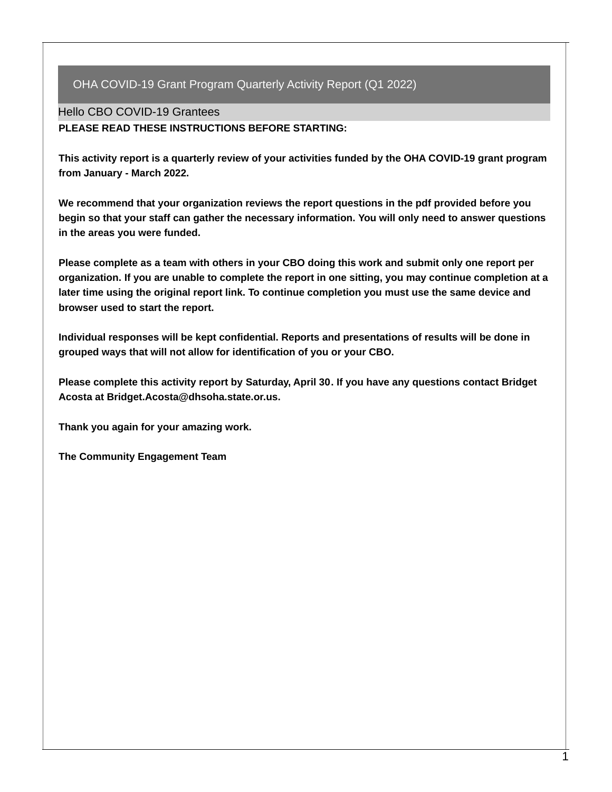Hello CBO COVID-19 Grantees

**PLEASE READ THESE INSTRUCTIONS BEFORE STARTING:**

**This activity report is a quarterly review of your activities funded by the OHA COVID-19 grant program from January - March 2022.**

**We recommend that your organization reviews the report questions in the pdf provided before you begin so that your staff can gather the necessary information. You will only need to answer questions in the areas you were funded.**

Please complete as a team with others in your CBO doing this work and submit only one report per organization. If you are unable to complete the report in one sitting, you may continue completion at a **later time using the original report link. To continue completion you must use the same device and browser used to start the report.**

**Individual responses will be kept confidential. Reports and presentations of results will be done in grouped ways that will not allow for identification of you or your CBO.**

**Please complete this activity report by Saturday, April 30. If you have any questions contact Bridget Acosta at Bridget.Acosta@dhsoha.state.or.us.**

**Thank you again for your amazing work.**

**The Community Engagement Team**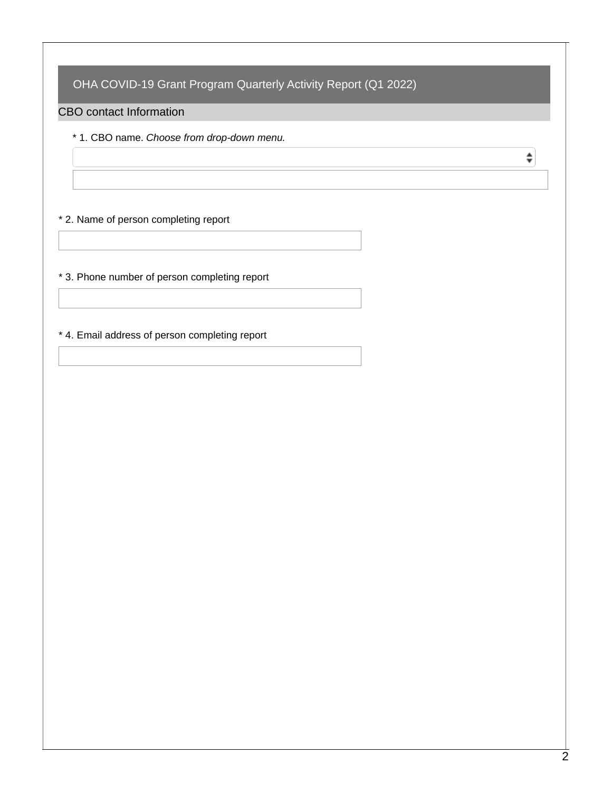#### CBO contact Information

\* 1. CBO name. *Choose from drop-down menu.*

#### \* 2. Name of person completing report

\* 3. Phone number of person completing report

\* 4. Email address of person completing report

 $\spadesuit$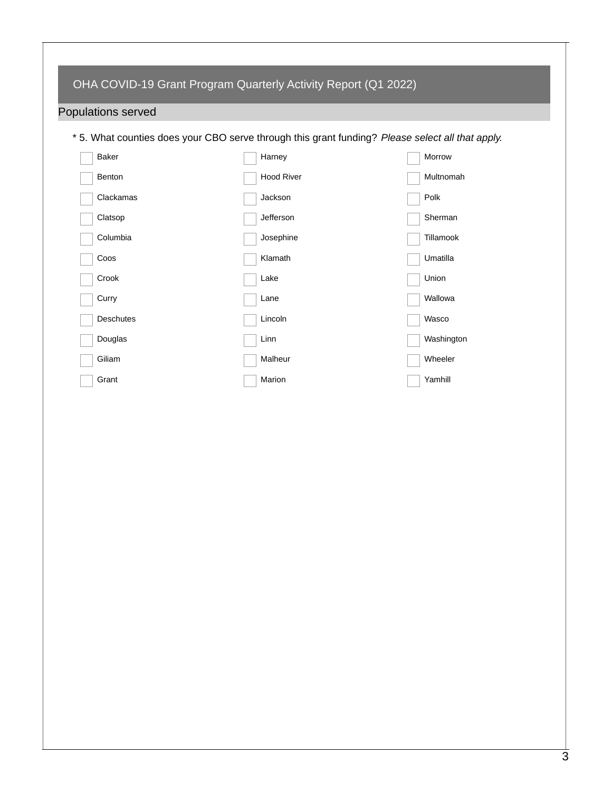# Populations served

\* 5. What counties does your CBO serve through this grant funding? *Please select all that apply.*

| Baker            | Harney            | Morrow     |
|------------------|-------------------|------------|
| Benton           | <b>Hood River</b> | Multnomah  |
| Clackamas        | Jackson           | Polk       |
| Clatsop          | Jefferson         | Sherman    |
| Columbia         | Josephine         | Tillamook  |
| Coos             | Klamath           | Umatilla   |
| Crook            | Lake              | Union      |
| Curry            | Lane              | Wallowa    |
| <b>Deschutes</b> | Lincoln           | Wasco      |
| Douglas          | Linn              | Washington |
| Giliam           | Malheur           | Wheeler    |
| Grant            | Marion            | Yamhill    |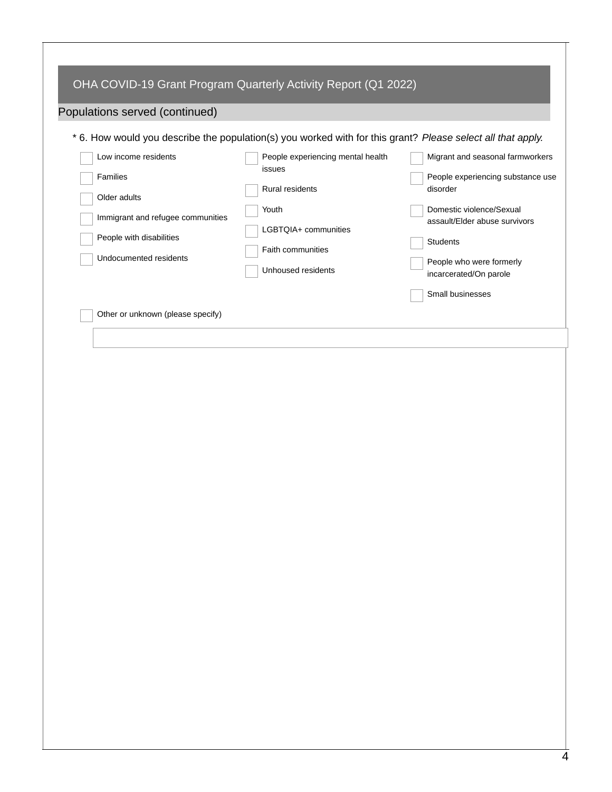| OHA COVID-19 Grant Program Quarterly Activity Report (Q1 2022)<br>Populations served (continued)<br>* 6. How would you describe the population(s) you worked with for this grant? Please select all that apply. |                                                                                                                                            |                                                                                                                                                                                                                                      |
|-----------------------------------------------------------------------------------------------------------------------------------------------------------------------------------------------------------------|--------------------------------------------------------------------------------------------------------------------------------------------|--------------------------------------------------------------------------------------------------------------------------------------------------------------------------------------------------------------------------------------|
| Low income residents<br>Families<br>Older adults<br>Immigrant and refugee communities<br>People with disabilities<br>Undocumented residents                                                                     | People experiencing mental health<br>issues<br>Rural residents<br>Youth<br>LGBTQIA+ communities<br>Faith communities<br>Unhoused residents | Migrant and seasonal farmworkers<br>People experiencing substance use<br>disorder<br>Domestic violence/Sexual<br>assault/Elder abuse survivors<br>Students<br>People who were formerly<br>incarcerated/On parole<br>Small businesses |
| Other or unknown (please specify)                                                                                                                                                                               |                                                                                                                                            |                                                                                                                                                                                                                                      |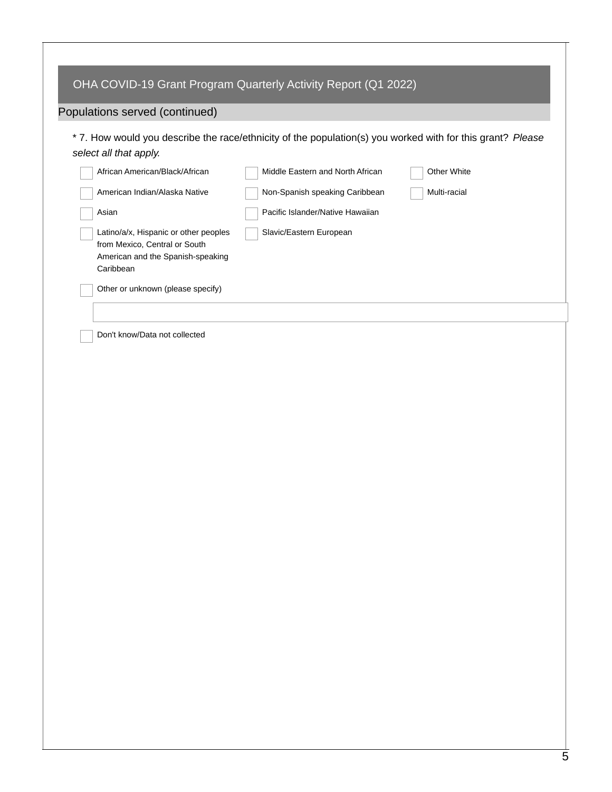|                                                                                                                          | OHA COVID-19 Grant Program Quarterly Activity Report (Q1 2022)                                             |              |  |
|--------------------------------------------------------------------------------------------------------------------------|------------------------------------------------------------------------------------------------------------|--------------|--|
| Populations served (continued)                                                                                           |                                                                                                            |              |  |
| select all that apply.                                                                                                   | * 7. How would you describe the race/ethnicity of the population(s) you worked with for this grant? Please |              |  |
| African American/Black/African                                                                                           | Middle Eastern and North African                                                                           | Other White  |  |
| American Indian/Alaska Native                                                                                            | Non-Spanish speaking Caribbean                                                                             | Multi-racial |  |
| Asian                                                                                                                    | Pacific Islander/Native Hawaiian                                                                           |              |  |
| Latino/a/x, Hispanic or other peoples<br>from Mexico, Central or South<br>American and the Spanish-speaking<br>Caribbean | Slavic/Eastern European                                                                                    |              |  |
| Other or unknown (please specify)                                                                                        |                                                                                                            |              |  |
|                                                                                                                          |                                                                                                            |              |  |
| Don't know/Data not collected                                                                                            |                                                                                                            |              |  |
|                                                                                                                          |                                                                                                            |              |  |
|                                                                                                                          |                                                                                                            |              |  |
|                                                                                                                          |                                                                                                            |              |  |
|                                                                                                                          |                                                                                                            |              |  |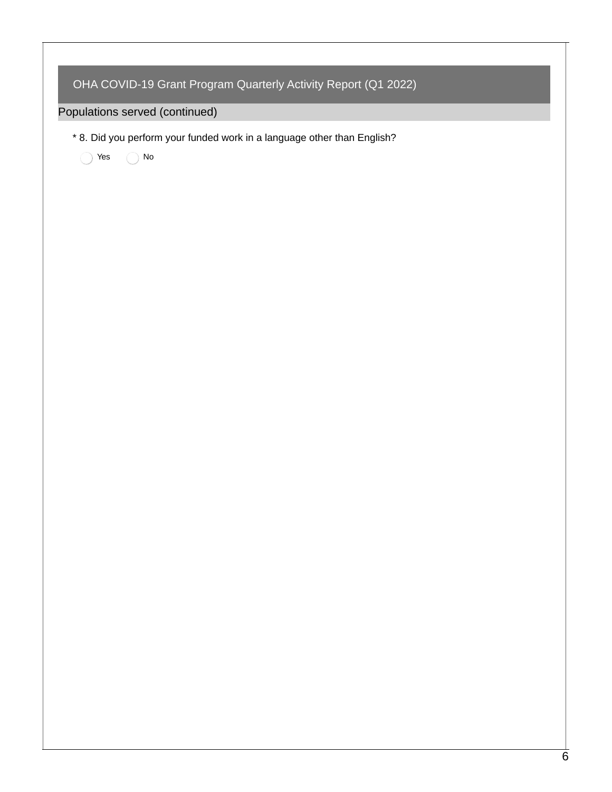| OHA COVID-19 Grant Program Quarterly Activity Report (Q1 2022)                       |
|--------------------------------------------------------------------------------------|
| Populations served (continued)                                                       |
| * 8. Did you perform your funded work in a language other than English?<br>No<br>Yes |
|                                                                                      |
|                                                                                      |
|                                                                                      |
|                                                                                      |
|                                                                                      |
|                                                                                      |
|                                                                                      |
|                                                                                      |
|                                                                                      |
|                                                                                      |
|                                                                                      |
|                                                                                      |
|                                                                                      |
|                                                                                      |
|                                                                                      |
|                                                                                      |
|                                                                                      |
|                                                                                      |
|                                                                                      |
|                                                                                      |

Г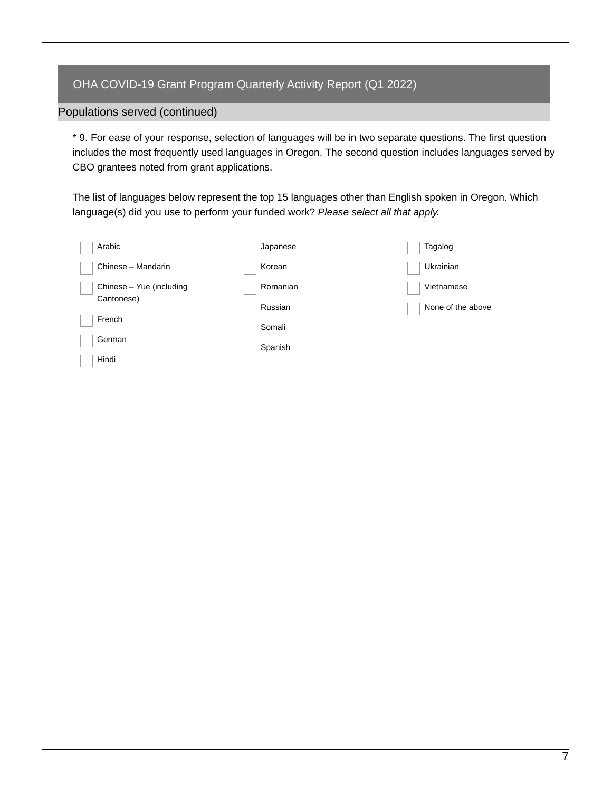#### Populations served (continued)

\* 9. For ease of your response, selection of languages will be in two separate questions. The first question includes the most frequently used languages in Oregon. The second question includes languages served by CBO grantees noted from grant applications.

The list of languages below represent the top 15 languages other than English spoken in Oregon. Which language(s) did you use to perform your funded work? *Please select all that apply.*

| Arabic                   | Japanese | Tagalog           |
|--------------------------|----------|-------------------|
| Chinese - Mandarin       | Korean   | Ukrainian         |
| Chinese - Yue (including | Romanian | Vietnamese        |
| Cantonese)               | Russian  | None of the above |
| French                   | Somali   |                   |
| German                   | Spanish  |                   |
| Hindi                    |          |                   |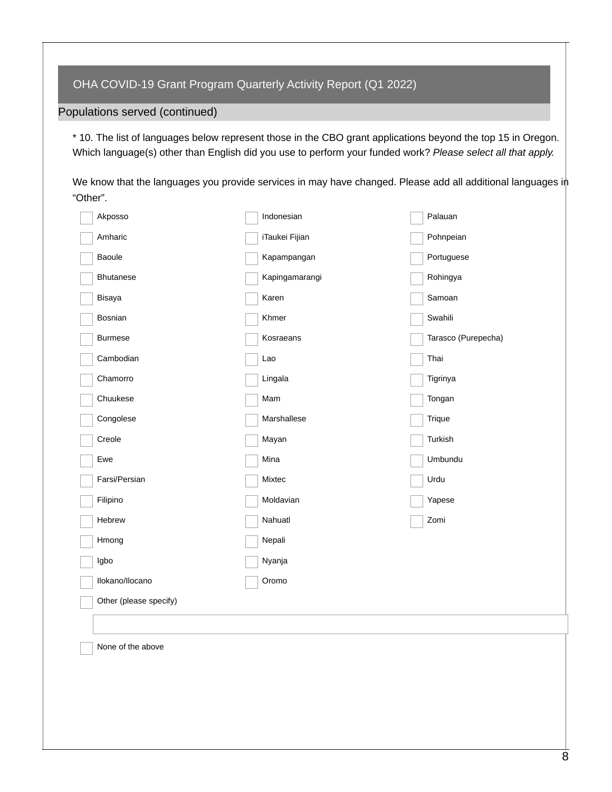Populations served (continued)

\* 10. The list of languages below represent those in the CBO grant applications beyond the top 15 in Oregon. Which language(s) other than English did you use to perform your funded work? *Please select all that apply.*

We know that the languages you provide services in may have changed. Please add all additional languages in "Other".

| Akposso                | Indonesian     | Palauan             |
|------------------------|----------------|---------------------|
| Amharic                | iTaukei Fijian | Pohnpeian           |
| Baoule                 | Kapampangan    | Portuguese          |
| Bhutanese              | Kapingamarangi | Rohingya            |
| Bisaya                 | Karen          | Samoan              |
| Bosnian                | Khmer          | Swahili             |
| <b>Burmese</b>         | Kosraeans      | Tarasco (Purepecha) |
| Cambodian              | Lao            | Thai                |
| Chamorro               | Lingala        | Tigrinya            |
| Chuukese               | Mam            | Tongan              |
| Congolese              | Marshallese    | Trique              |
| Creole                 | Mayan          | Turkish             |
| Ewe                    | Mina           | Umbundu             |
| Farsi/Persian          | Mixtec         | Urdu                |
| Filipino               | Moldavian      | Yapese              |
| Hebrew                 | Nahuatl        | Zomi                |
| Hmong                  | Nepali         |                     |
| Igbo                   | Nyanja         |                     |
| Ilokano/Ilocano        | Oromo          |                     |
| Other (please specify) |                |                     |
|                        |                |                     |
| None of the above      |                |                     |
|                        |                |                     |
|                        |                |                     |
|                        |                |                     |
|                        |                |                     |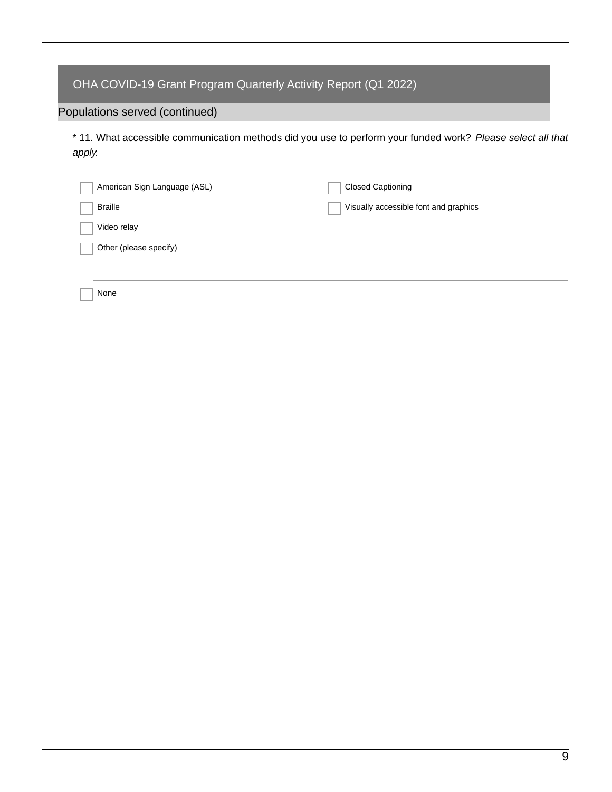| Populations served (continued) |                                                                                                             |
|--------------------------------|-------------------------------------------------------------------------------------------------------------|
| apply.                         | * 11. What accessible communication methods did you use to perform your funded work? Please select all that |
| American Sign Language (ASL)   | <b>Closed Captioning</b>                                                                                    |
| <b>Braille</b>                 | Visually accessible font and graphics                                                                       |
| Video relay                    |                                                                                                             |
| Other (please specify)         |                                                                                                             |
|                                |                                                                                                             |
| None                           |                                                                                                             |
|                                |                                                                                                             |
|                                |                                                                                                             |
|                                |                                                                                                             |
|                                |                                                                                                             |
|                                |                                                                                                             |
|                                |                                                                                                             |
|                                |                                                                                                             |
|                                |                                                                                                             |
|                                |                                                                                                             |
|                                |                                                                                                             |
|                                |                                                                                                             |
|                                |                                                                                                             |
|                                |                                                                                                             |
|                                |                                                                                                             |
|                                |                                                                                                             |
|                                |                                                                                                             |
|                                |                                                                                                             |
|                                |                                                                                                             |
|                                |                                                                                                             |

Т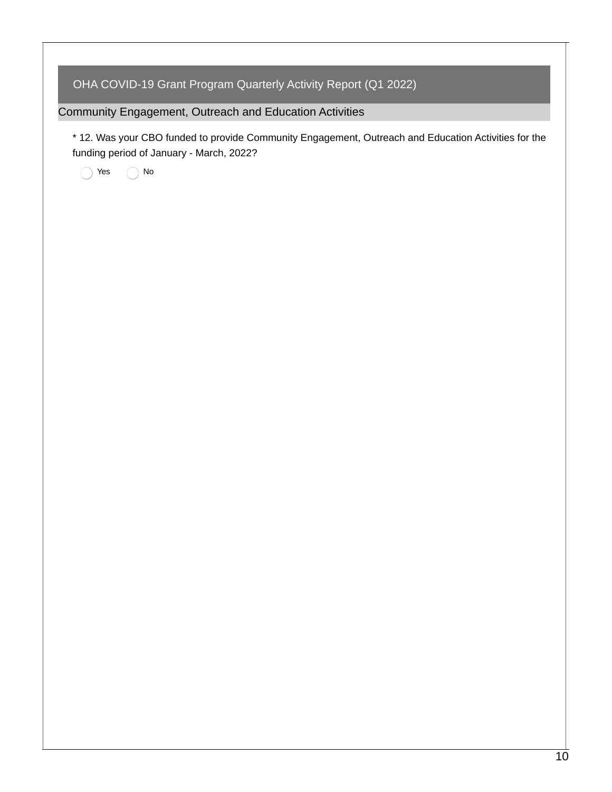| OHA COVID-19 Grant Program Quarterly Activity Report (Q1 2022)                                                                                   |
|--------------------------------------------------------------------------------------------------------------------------------------------------|
| Community Engagement, Outreach and Education Activities                                                                                          |
| * 12. Was your CBO funded to provide Community Engagement, Outreach and Education Activities for the<br>funding period of January - March, 2022? |
| $\rm No$<br>Yes                                                                                                                                  |
|                                                                                                                                                  |
|                                                                                                                                                  |
|                                                                                                                                                  |
|                                                                                                                                                  |
|                                                                                                                                                  |
|                                                                                                                                                  |
|                                                                                                                                                  |
|                                                                                                                                                  |
|                                                                                                                                                  |
|                                                                                                                                                  |
|                                                                                                                                                  |
|                                                                                                                                                  |
|                                                                                                                                                  |
|                                                                                                                                                  |
|                                                                                                                                                  |
|                                                                                                                                                  |
|                                                                                                                                                  |
|                                                                                                                                                  |
|                                                                                                                                                  |
|                                                                                                                                                  |
|                                                                                                                                                  |
|                                                                                                                                                  |
|                                                                                                                                                  |
|                                                                                                                                                  |
|                                                                                                                                                  |
|                                                                                                                                                  |

Τ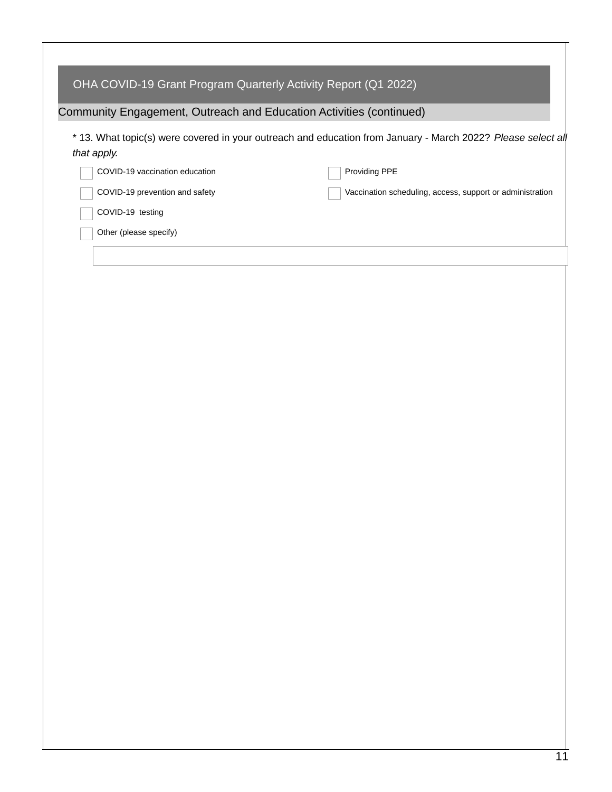| OHA COVID-19 Grant Program Quarterly Activity Report (Q1 2022)      |                                                                                                              |
|---------------------------------------------------------------------|--------------------------------------------------------------------------------------------------------------|
| Community Engagement, Outreach and Education Activities (continued) |                                                                                                              |
| that apply.                                                         | * 13. What topic(s) were covered in your outreach and education from January - March 2022? Please select all |
| COVID-19 vaccination education                                      | Providing PPE                                                                                                |
| COVID-19 prevention and safety                                      | Vaccination scheduling, access, support or administration                                                    |
| COVID-19 testing                                                    |                                                                                                              |
| Other (please specify)                                              |                                                                                                              |
|                                                                     |                                                                                                              |
|                                                                     |                                                                                                              |
|                                                                     |                                                                                                              |
|                                                                     |                                                                                                              |
|                                                                     |                                                                                                              |
|                                                                     |                                                                                                              |
|                                                                     |                                                                                                              |
|                                                                     |                                                                                                              |
|                                                                     |                                                                                                              |
|                                                                     |                                                                                                              |
|                                                                     |                                                                                                              |
|                                                                     |                                                                                                              |
|                                                                     |                                                                                                              |
|                                                                     |                                                                                                              |
|                                                                     |                                                                                                              |
|                                                                     |                                                                                                              |
|                                                                     |                                                                                                              |
|                                                                     |                                                                                                              |
|                                                                     |                                                                                                              |
|                                                                     |                                                                                                              |
|                                                                     |                                                                                                              |
|                                                                     |                                                                                                              |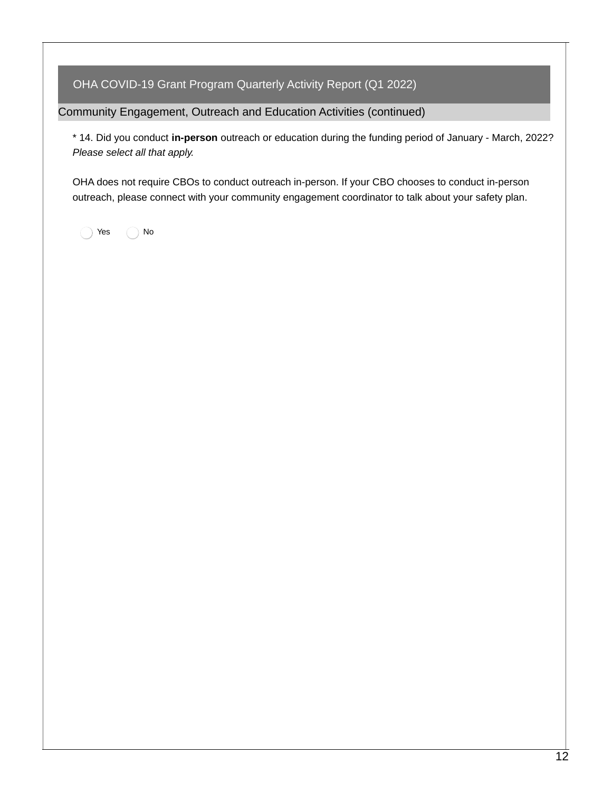Community Engagement, Outreach and Education Activities (continued)

\* 14. Did you conduct **in-person** outreach or education during the funding period of January - March, 2022? *Please select all that apply.*

OHA does not require CBOs to conduct outreach in-person. If your CBO chooses to conduct in-person outreach, please connect with your community engagement coordinator to talk about your safety plan.

Yes  $\bigcap$  No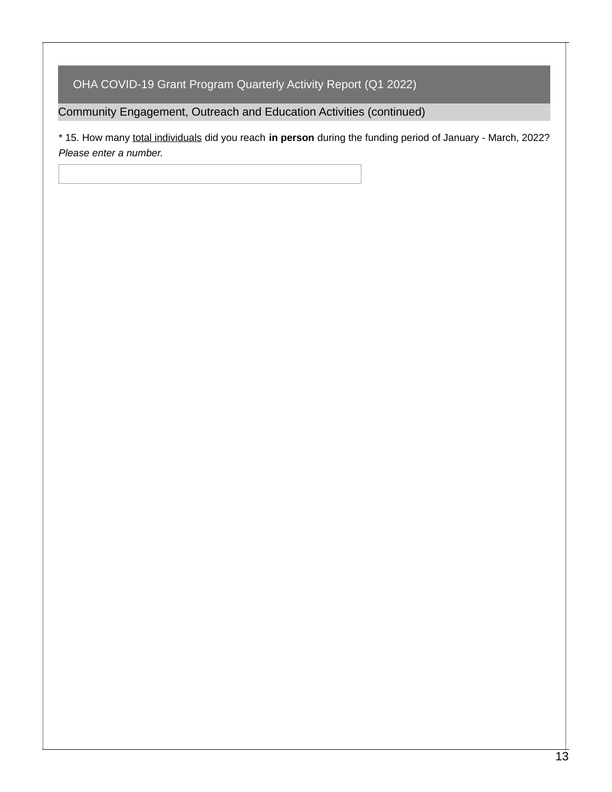Community Engagement, Outreach and Education Activities (continued)

\* 15. How many total individuals did you reach **in person** during the funding period of January - March, 2022? *Please enter a number.*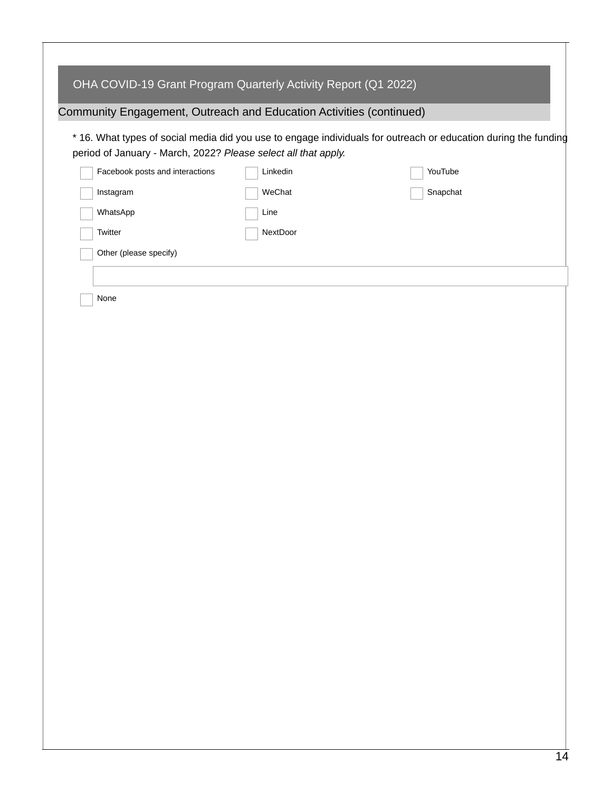| OHA COVID-19 Grant Program Quarterly Activity Report (Q1 2022)      |          |                                                                                                                 |
|---------------------------------------------------------------------|----------|-----------------------------------------------------------------------------------------------------------------|
| Community Engagement, Outreach and Education Activities (continued) |          |                                                                                                                 |
| period of January - March, 2022? Please select all that apply.      |          | * 16. What types of social media did you use to engage individuals for outreach or education during the funding |
| Facebook posts and interactions                                     | Linkedin | YouTube                                                                                                         |
| Instagram                                                           | WeChat   | Snapchat                                                                                                        |
| WhatsApp                                                            | Line     |                                                                                                                 |
| Twitter                                                             | NextDoor |                                                                                                                 |
| Other (please specify)                                              |          |                                                                                                                 |
|                                                                     |          |                                                                                                                 |
| None                                                                |          |                                                                                                                 |
|                                                                     |          |                                                                                                                 |
|                                                                     |          |                                                                                                                 |
|                                                                     |          |                                                                                                                 |
|                                                                     |          |                                                                                                                 |
|                                                                     |          |                                                                                                                 |
|                                                                     |          |                                                                                                                 |
|                                                                     |          |                                                                                                                 |
|                                                                     |          |                                                                                                                 |
|                                                                     |          |                                                                                                                 |
|                                                                     |          |                                                                                                                 |
|                                                                     |          |                                                                                                                 |
|                                                                     |          |                                                                                                                 |
|                                                                     |          |                                                                                                                 |
|                                                                     |          |                                                                                                                 |
|                                                                     |          |                                                                                                                 |
|                                                                     |          |                                                                                                                 |
|                                                                     |          |                                                                                                                 |
|                                                                     |          |                                                                                                                 |
|                                                                     |          |                                                                                                                 |
|                                                                     |          |                                                                                                                 |
|                                                                     |          |                                                                                                                 |
|                                                                     |          |                                                                                                                 |

Τ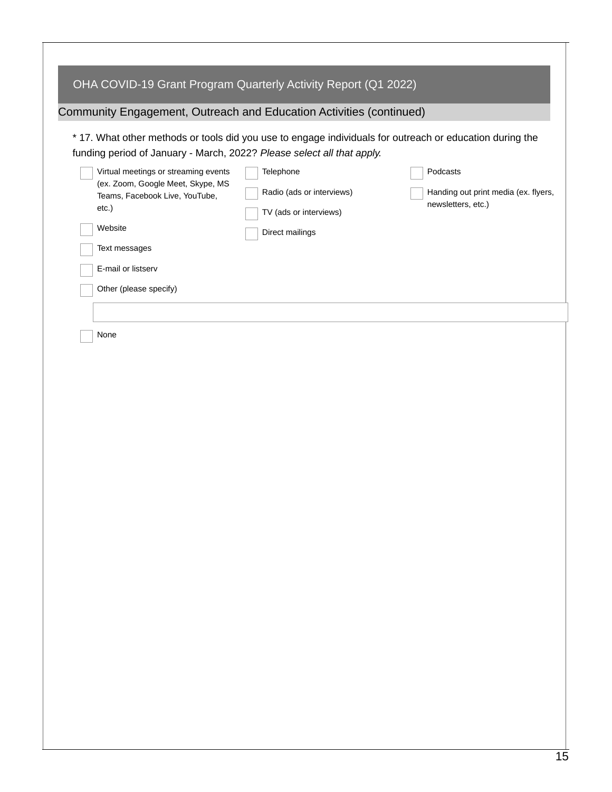| OHA COVID-19 Grant Program Quarterly Activity Report (Q1 2022)<br>Community Engagement, Outreach and Education Activities (continued)<br>* 17. What other methods or tools did you use to engage individuals for outreach or education during the<br>funding period of January - March, 2022? Please select all that apply.<br>Virtual meetings or streaming events<br>(ex. Zoom, Google Meet, Skype, MS<br>Teams, Facebook Live, YouTube,<br>etc.)<br>Website<br>Text messages<br>E-mail or listserv<br>Other (please specify) | Telephone<br>Radio (ads or interviews)<br>TV (ads or interviews)<br>Direct mailings | Podcasts<br>Handing out print media (ex. flyers,<br>newsletters, etc.) |
|---------------------------------------------------------------------------------------------------------------------------------------------------------------------------------------------------------------------------------------------------------------------------------------------------------------------------------------------------------------------------------------------------------------------------------------------------------------------------------------------------------------------------------|-------------------------------------------------------------------------------------|------------------------------------------------------------------------|
|                                                                                                                                                                                                                                                                                                                                                                                                                                                                                                                                 |                                                                                     |                                                                        |
| None                                                                                                                                                                                                                                                                                                                                                                                                                                                                                                                            |                                                                                     |                                                                        |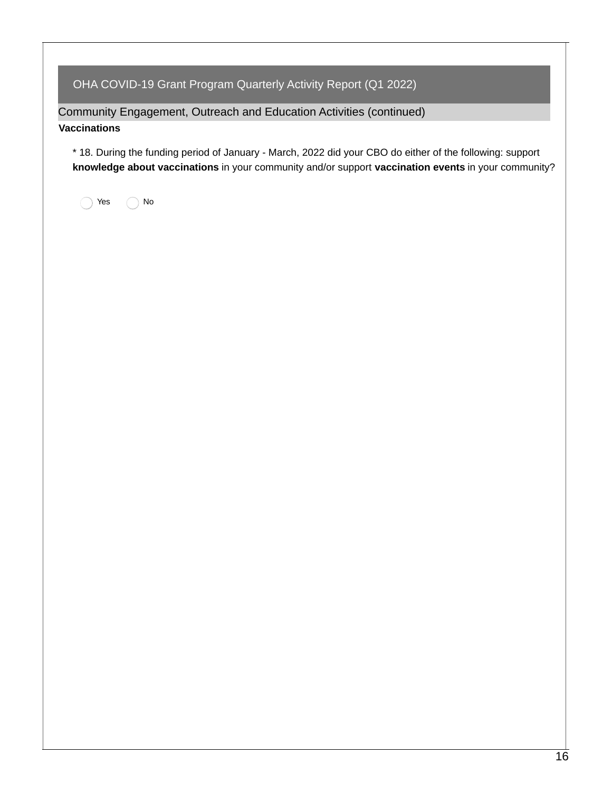Community Engagement, Outreach and Education Activities (continued)

#### **Vaccinations**

\* 18. During the funding period of January - March, 2022 did your CBO do either of the following: support **knowledge about vaccinations** in your community and/or support **vaccination events** in your community?

res no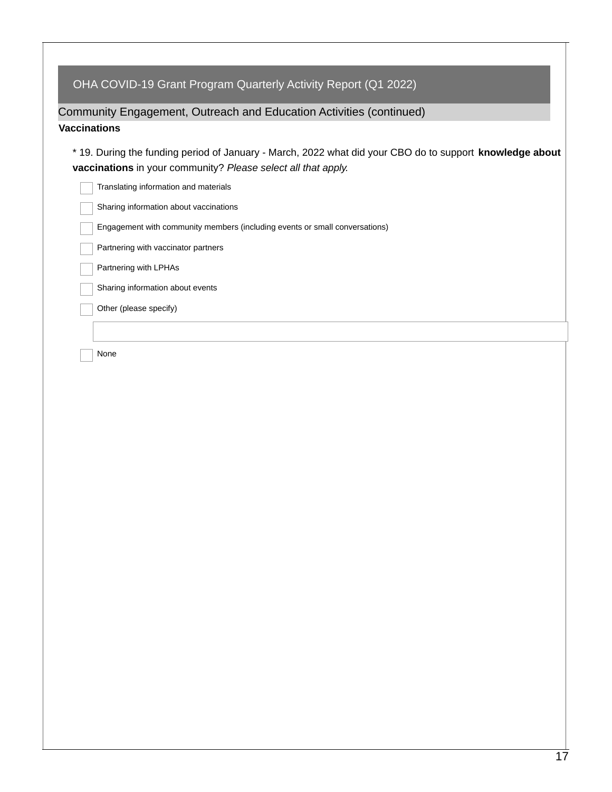## Community Engagement, Outreach and Education Activities (continued)

#### **Vaccinations**

\* 19. During the funding period of January - March, 2022 what did your CBO do to support **knowledge about vaccinations** in your community? *Please select all that apply.*

| Translating information and materials                                       |
|-----------------------------------------------------------------------------|
| Sharing information about vaccinations                                      |
| Engagement with community members (including events or small conversations) |
| Partnering with vaccinator partners                                         |
| Partnering with LPHAs                                                       |
| Sharing information about events                                            |
| Other (please specify)                                                      |
|                                                                             |
| None                                                                        |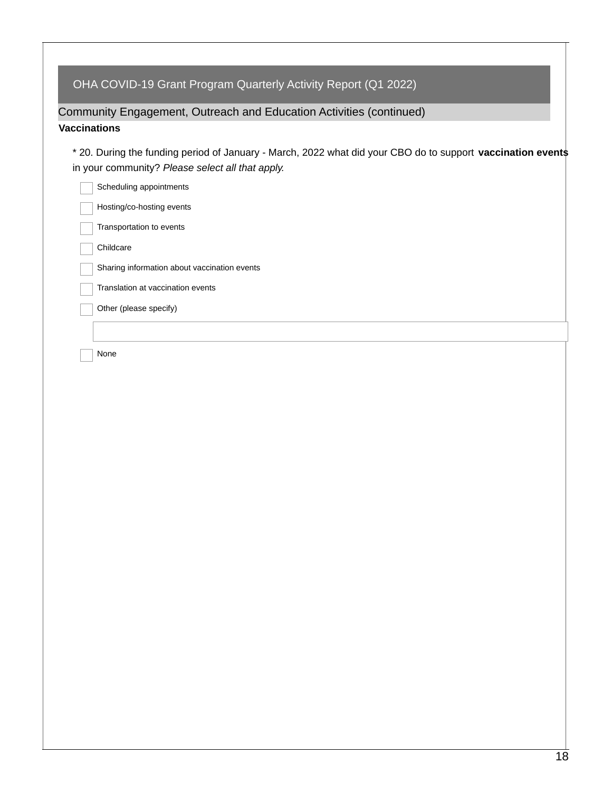### Community Engagement, Outreach and Education Activities (continued)

#### **Vaccinations**

\* 20. During the funding period of January - March, 2022 what did your CBO do to support **vaccination events** in your community? *Please select all that apply.*

| Scheduling appointments                      |
|----------------------------------------------|
| Hosting/co-hosting events                    |
| Transportation to events                     |
| Childcare                                    |
| Sharing information about vaccination events |
| Translation at vaccination events            |
| Other (please specify)                       |
|                                              |
| None                                         |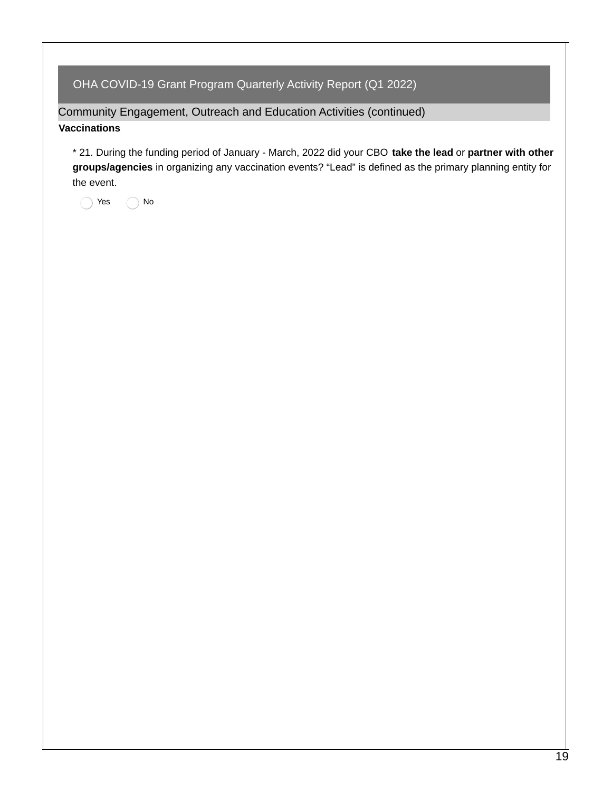Community Engagement, Outreach and Education Activities (continued)

#### **Vaccinations**

\* 21. During the funding period of January - March, 2022 did your CBO **take the lead** or **partner with other groups/agencies** in organizing any vaccination events? "Lead" is defined as the primary planning entity for the event.

◯ Yes ◯ No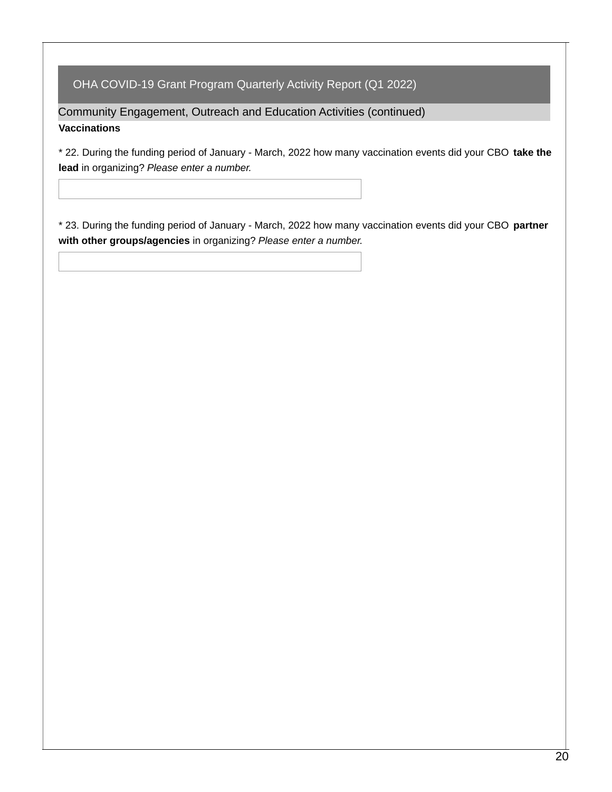Community Engagement, Outreach and Education Activities (continued) **Vaccinations**

\* 22. During the funding period of January - March, 2022 how many vaccination events did your CBO **take the lead** in organizing? *Please enter a number.*

\* 23. During the funding period of January - March, 2022 how many vaccination events did your CBO **partner with other groups/agencies** in organizing? *Please enter a number.*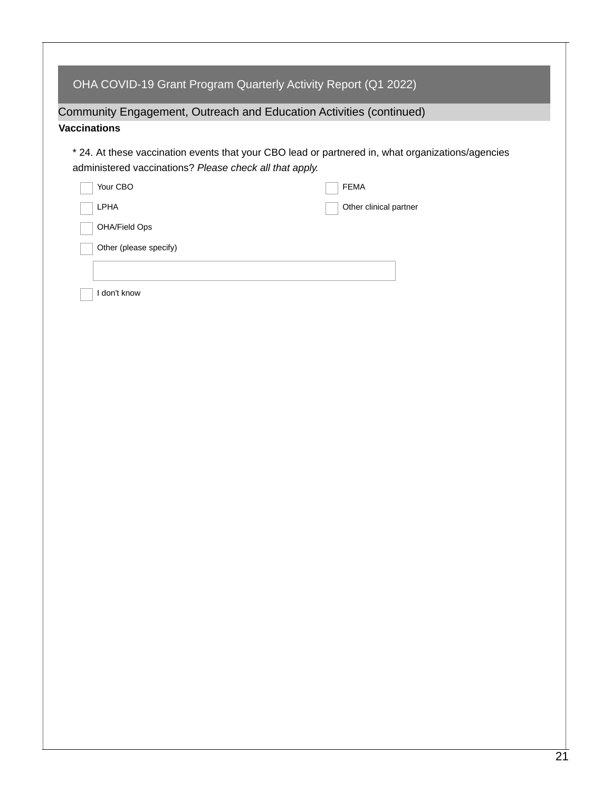| <b>Vaccinations</b><br>* 24. At these vaccination events that your CBO lead or partnered in, what organizations/agencies |                        |  |  |  |  |
|--------------------------------------------------------------------------------------------------------------------------|------------------------|--|--|--|--|
| administered vaccinations? Please check all that apply.                                                                  |                        |  |  |  |  |
| Your CBO                                                                                                                 | <b>FEMA</b>            |  |  |  |  |
| LPHA                                                                                                                     | Other clinical partner |  |  |  |  |
| OHA/Field Ops<br>Other (please specify)                                                                                  |                        |  |  |  |  |
|                                                                                                                          |                        |  |  |  |  |
|                                                                                                                          |                        |  |  |  |  |
| I don't know                                                                                                             |                        |  |  |  |  |
|                                                                                                                          |                        |  |  |  |  |
|                                                                                                                          |                        |  |  |  |  |
|                                                                                                                          |                        |  |  |  |  |
|                                                                                                                          |                        |  |  |  |  |
|                                                                                                                          |                        |  |  |  |  |
|                                                                                                                          |                        |  |  |  |  |
|                                                                                                                          |                        |  |  |  |  |
|                                                                                                                          |                        |  |  |  |  |
|                                                                                                                          |                        |  |  |  |  |
|                                                                                                                          |                        |  |  |  |  |
|                                                                                                                          |                        |  |  |  |  |
|                                                                                                                          |                        |  |  |  |  |
|                                                                                                                          |                        |  |  |  |  |
|                                                                                                                          |                        |  |  |  |  |
|                                                                                                                          |                        |  |  |  |  |
|                                                                                                                          |                        |  |  |  |  |
|                                                                                                                          |                        |  |  |  |  |
|                                                                                                                          |                        |  |  |  |  |
|                                                                                                                          |                        |  |  |  |  |
|                                                                                                                          |                        |  |  |  |  |
|                                                                                                                          |                        |  |  |  |  |
|                                                                                                                          |                        |  |  |  |  |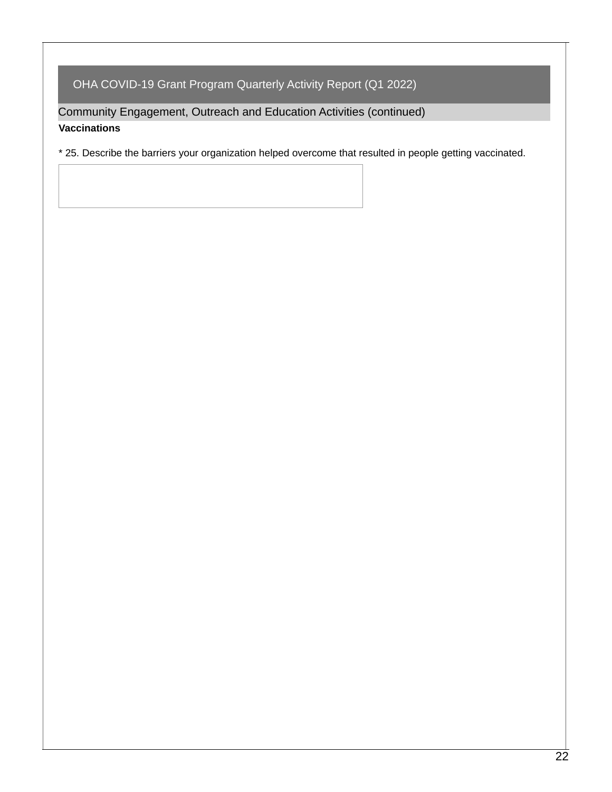Community Engagement, Outreach and Education Activities (continued) **Vaccinations**

\* 25. Describe the barriers your organization helped overcome that resulted in people getting vaccinated.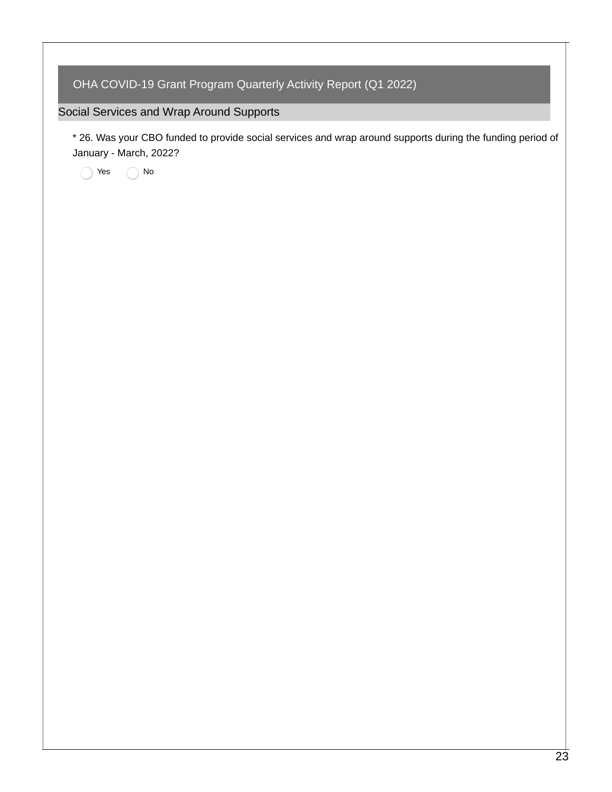### Social Services and Wrap Around Supports

\* 26. Was your CBO funded to provide social services and wrap around supports during the funding period of January - March, 2022?

◯ Yes ◯ No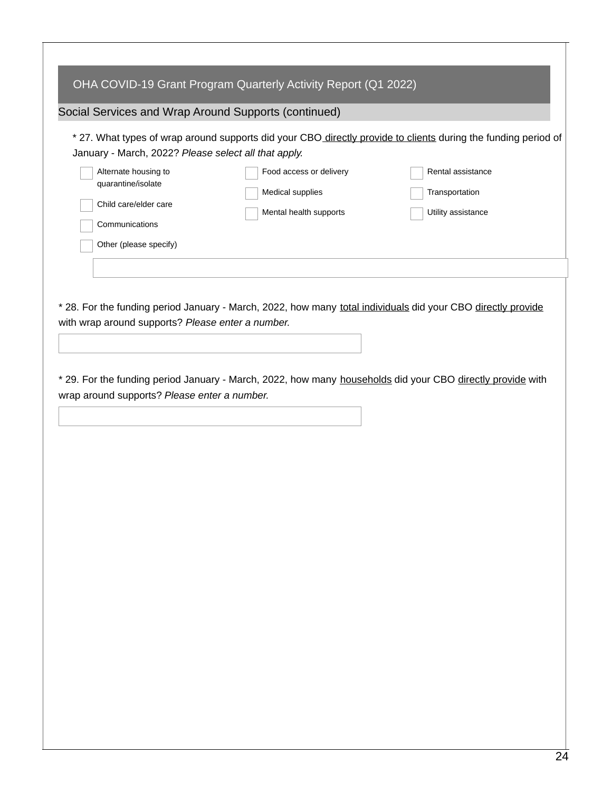| OHA COVID-19 Grant Program Quarterly Activity Report (Q1 2022)                                                                                                                                                                                                                                                                                                                                                                  |  |  |  |  |  |  |
|---------------------------------------------------------------------------------------------------------------------------------------------------------------------------------------------------------------------------------------------------------------------------------------------------------------------------------------------------------------------------------------------------------------------------------|--|--|--|--|--|--|
| Social Services and Wrap Around Supports (continued)                                                                                                                                                                                                                                                                                                                                                                            |  |  |  |  |  |  |
| * 27. What types of wrap around supports did your CBO directly provide to clients during the funding period of<br>January - March, 2022? Please select all that apply.<br>Food access or delivery<br>Rental assistance<br>Alternate housing to<br>quarantine/isolate<br>Medical supplies<br>Transportation<br>Child care/elder care<br>Mental health supports<br>Utility assistance<br>Communications<br>Other (please specify) |  |  |  |  |  |  |
|                                                                                                                                                                                                                                                                                                                                                                                                                                 |  |  |  |  |  |  |
| * 28. For the funding period January - March, 2022, how many total individuals did your CBO directly provide<br>with wrap around supports? Please enter a number.                                                                                                                                                                                                                                                               |  |  |  |  |  |  |
| * 29. For the funding period January - March, 2022, how many households did your CBO directly provide with<br>wrap around supports? Please enter a number.                                                                                                                                                                                                                                                                      |  |  |  |  |  |  |
|                                                                                                                                                                                                                                                                                                                                                                                                                                 |  |  |  |  |  |  |
|                                                                                                                                                                                                                                                                                                                                                                                                                                 |  |  |  |  |  |  |
|                                                                                                                                                                                                                                                                                                                                                                                                                                 |  |  |  |  |  |  |
|                                                                                                                                                                                                                                                                                                                                                                                                                                 |  |  |  |  |  |  |
|                                                                                                                                                                                                                                                                                                                                                                                                                                 |  |  |  |  |  |  |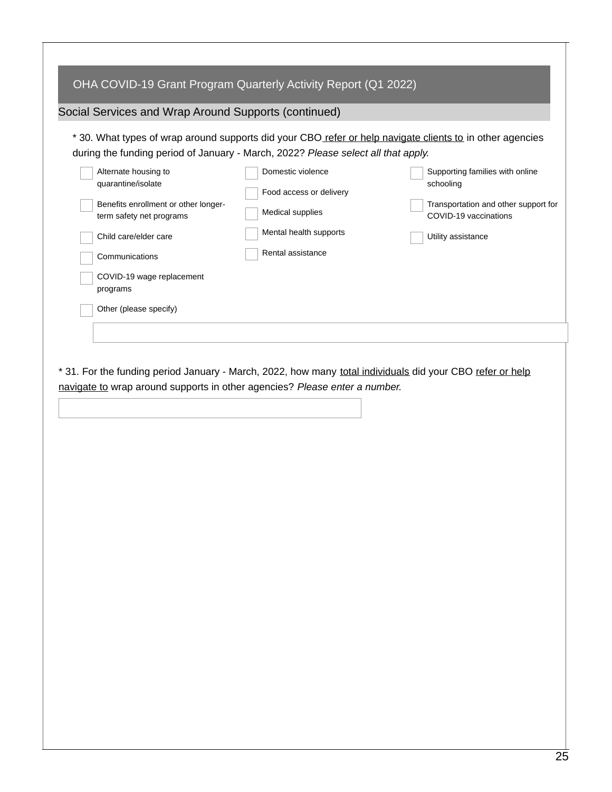| OHA COVID-19 Grant Program Quarterly Activity Report (Q1 2022)                                                                                                                                                               |                                                                                                                                                                                                                                                                                                                                                                                                                                                          |  |  |  |  |  |  |
|------------------------------------------------------------------------------------------------------------------------------------------------------------------------------------------------------------------------------|----------------------------------------------------------------------------------------------------------------------------------------------------------------------------------------------------------------------------------------------------------------------------------------------------------------------------------------------------------------------------------------------------------------------------------------------------------|--|--|--|--|--|--|
| Social Services and Wrap Around Supports (continued)                                                                                                                                                                         |                                                                                                                                                                                                                                                                                                                                                                                                                                                          |  |  |  |  |  |  |
| Alternate housing to<br>quarantine/isolate<br>Benefits enrollment or other longer-<br>term safety net programs<br>Child care/elder care<br>Communications<br>COVID-19 wage replacement<br>programs<br>Other (please specify) | * 30. What types of wrap around supports did your CBO refer or help navigate clients to in other agencies<br>during the funding period of January - March, 2022? Please select all that apply.<br>Domestic violence<br>Supporting families with online<br>schooling<br>Food access or delivery<br>Transportation and other support for<br>Medical supplies<br>COVID-19 vaccinations<br>Mental health supports<br>Utility assistance<br>Rental assistance |  |  |  |  |  |  |
|                                                                                                                                                                                                                              |                                                                                                                                                                                                                                                                                                                                                                                                                                                          |  |  |  |  |  |  |
|                                                                                                                                                                                                                              |                                                                                                                                                                                                                                                                                                                                                                                                                                                          |  |  |  |  |  |  |
| navigate to wrap around supports in other agencies? Please enter a number.                                                                                                                                                   | * 31. For the funding period January - March, 2022, how many total individuals did your CBO refer or help                                                                                                                                                                                                                                                                                                                                                |  |  |  |  |  |  |
|                                                                                                                                                                                                                              |                                                                                                                                                                                                                                                                                                                                                                                                                                                          |  |  |  |  |  |  |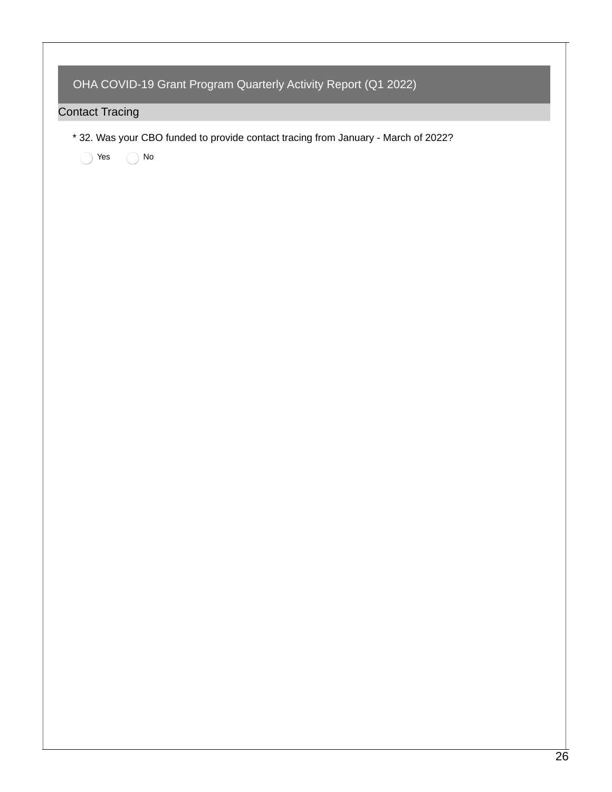|                        | OHA COVID-19 Grant Program Quarterly Activity Report (Q1 2022)                                   |  |  |  |  |  |
|------------------------|--------------------------------------------------------------------------------------------------|--|--|--|--|--|
| <b>Contact Tracing</b> |                                                                                                  |  |  |  |  |  |
| Yes                    | * 32. Was your CBO funded to provide contact tracing from January - March of 2022?<br>${\sf No}$ |  |  |  |  |  |
|                        |                                                                                                  |  |  |  |  |  |
|                        |                                                                                                  |  |  |  |  |  |
|                        |                                                                                                  |  |  |  |  |  |
|                        |                                                                                                  |  |  |  |  |  |
|                        |                                                                                                  |  |  |  |  |  |
|                        |                                                                                                  |  |  |  |  |  |
|                        |                                                                                                  |  |  |  |  |  |
|                        |                                                                                                  |  |  |  |  |  |
|                        |                                                                                                  |  |  |  |  |  |
|                        |                                                                                                  |  |  |  |  |  |
|                        |                                                                                                  |  |  |  |  |  |
|                        |                                                                                                  |  |  |  |  |  |
|                        |                                                                                                  |  |  |  |  |  |
|                        |                                                                                                  |  |  |  |  |  |
|                        |                                                                                                  |  |  |  |  |  |
|                        |                                                                                                  |  |  |  |  |  |
|                        |                                                                                                  |  |  |  |  |  |
|                        |                                                                                                  |  |  |  |  |  |
|                        |                                                                                                  |  |  |  |  |  |
|                        |                                                                                                  |  |  |  |  |  |

 $\Gamma$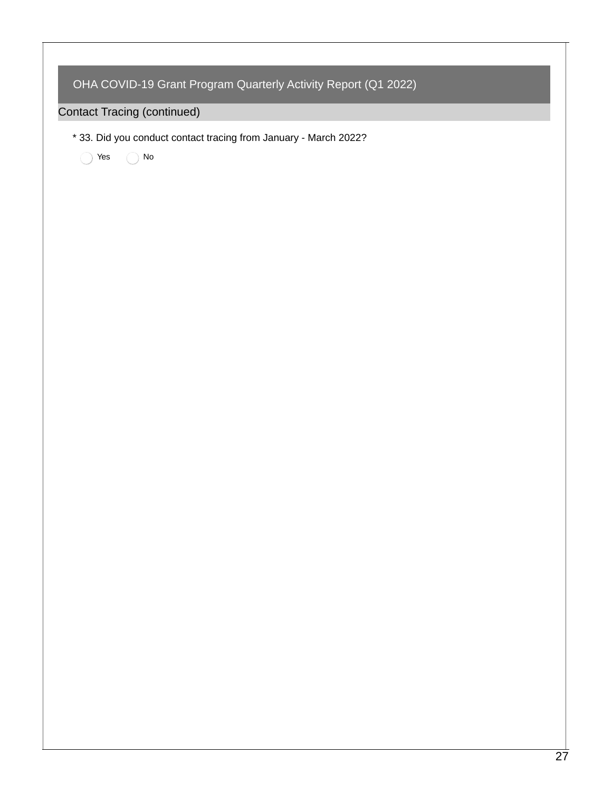|  | * 33. Did you conduct contact tracing from January - March 2022? |
|--|------------------------------------------------------------------|
|  | $\operatorname{\mathsf{No}}$<br>Yes<br>ſ.,                       |
|  |                                                                  |
|  |                                                                  |
|  |                                                                  |
|  |                                                                  |
|  |                                                                  |
|  |                                                                  |
|  |                                                                  |
|  |                                                                  |
|  |                                                                  |
|  |                                                                  |
|  |                                                                  |
|  |                                                                  |
|  |                                                                  |
|  |                                                                  |
|  |                                                                  |
|  |                                                                  |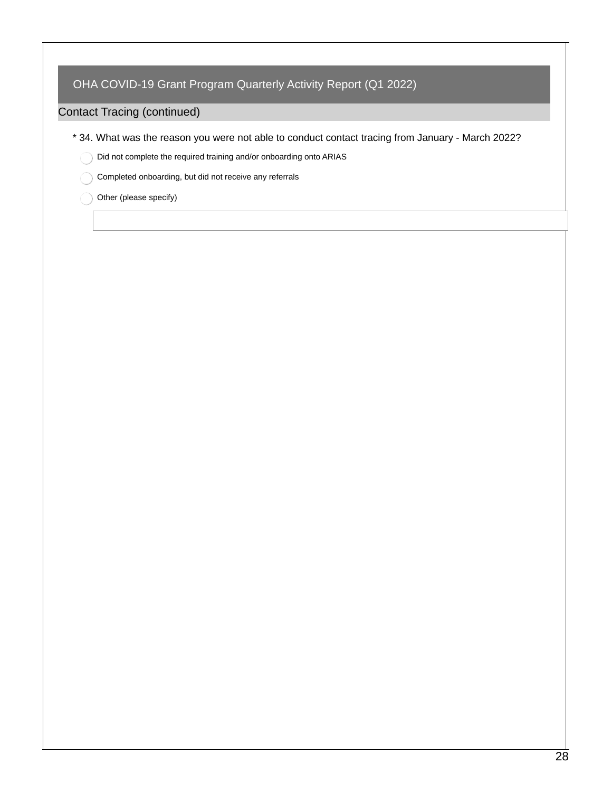### Contact Tracing (continued)

- \* 34. What was the reason you were not able to conduct contact tracing from January March 2022?
	- Did not complete the required training and/or onboarding onto ARIAS
		- Completed onboarding, but did not receive any referrals
	- Other (please specify)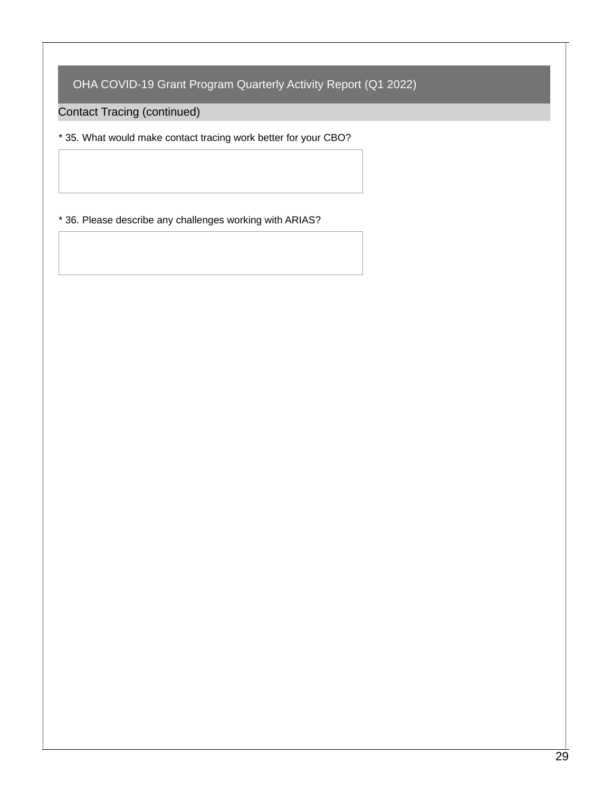Contact Tracing (continued)

\* 35. What would make contact tracing work better for your CBO?

\* 36. Please describe any challenges working with ARIAS?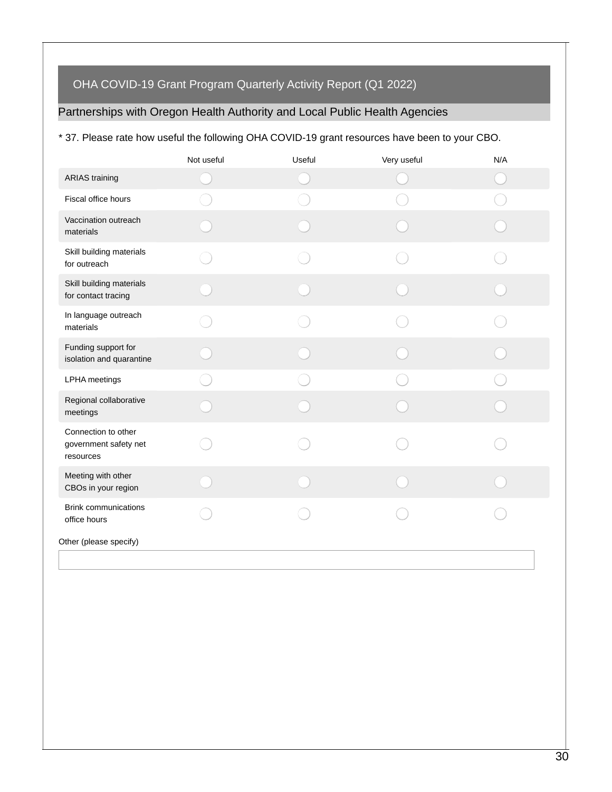# Partnerships with Oregon Health Authority and Local Public Health Agencies

#### \* 37. Please rate how useful the following OHA COVID-19 grant resources have been to your CBO.

|                                                           | Not useful | Useful | Very useful | N/A |
|-----------------------------------------------------------|------------|--------|-------------|-----|
| <b>ARIAS</b> training                                     |            |        |             |     |
| Fiscal office hours                                       |            |        |             |     |
| Vaccination outreach<br>materials                         |            |        |             |     |
| Skill building materials<br>for outreach                  |            |        |             |     |
| Skill building materials<br>for contact tracing           |            |        |             |     |
| In language outreach<br>materials                         |            |        |             |     |
| Funding support for<br>isolation and quarantine           |            |        |             |     |
| LPHA meetings                                             |            |        |             |     |
| Regional collaborative<br>meetings                        |            |        |             |     |
| Connection to other<br>government safety net<br>resources |            |        |             |     |
| Meeting with other<br>CBOs in your region                 |            |        |             |     |
| <b>Brink communications</b><br>office hours               |            |        |             |     |
| Other (please specify)                                    |            |        |             |     |
|                                                           |            |        |             |     |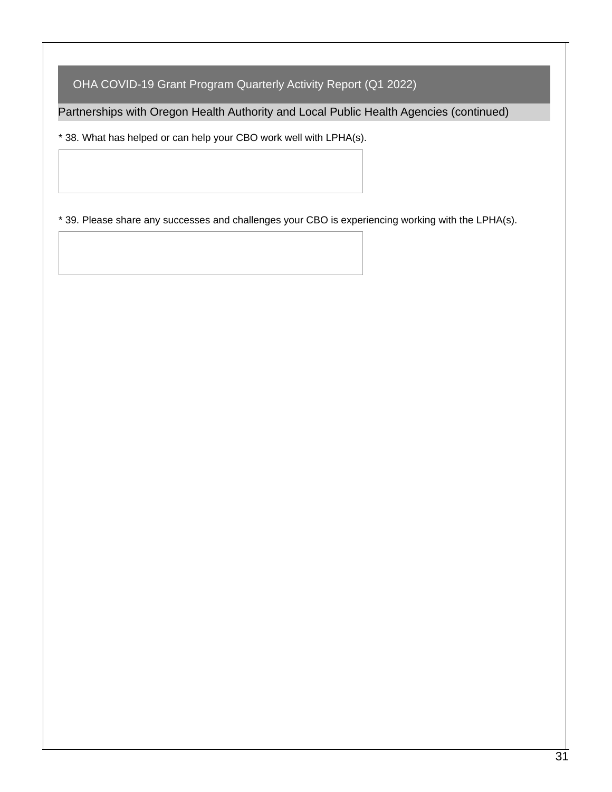Partnerships with Oregon Health Authority and Local Public Health Agencies (continued)

\* 38. What has helped or can help your CBO work well with LPHA(s).

\* 39. Please share any successes and challenges your CBO is experiencing working with the LPHA(s).